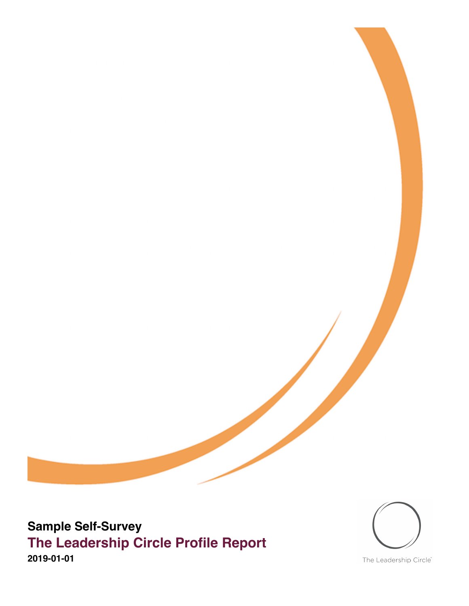



The Leadership Circle®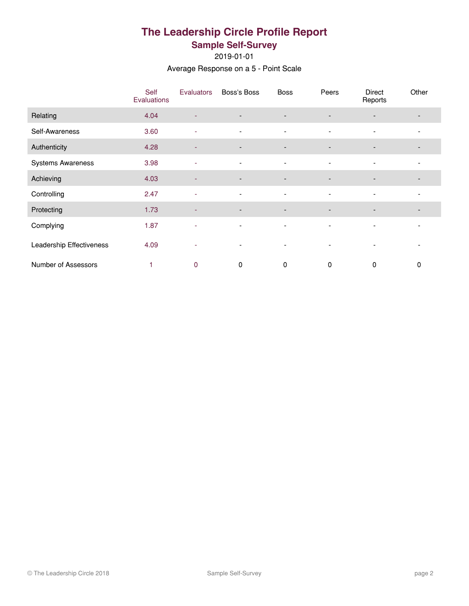# **The Leadership Circle Profile Report Sample Self-Survey**

2019-01-01

Average Response on a 5 - Point Scale

|                          | Self<br>Evaluations | Evaluators               | Boss's Boss              | <b>Boss</b>              | Peers                    | <b>Direct</b><br>Reports | Other |
|--------------------------|---------------------|--------------------------|--------------------------|--------------------------|--------------------------|--------------------------|-------|
| Relating                 | 4.04                | $\overline{\phantom{a}}$ | $\overline{\phantom{a}}$ | $\overline{\phantom{a}}$ |                          |                          |       |
| Self-Awareness           | 3.60                | ۰                        | $\overline{\phantom{a}}$ | $\overline{\phantom{a}}$ | ٠                        | $\overline{\phantom{a}}$ |       |
| Authenticity             | 4.28                | ٠                        | $\overline{\phantom{a}}$ | $\overline{\phantom{a}}$ | $\overline{\phantom{a}}$ | $\overline{\phantom{a}}$ |       |
| <b>Systems Awareness</b> | 3.98                | ٠                        | $\overline{\phantom{a}}$ | $\overline{\phantom{a}}$ | $\overline{\phantom{a}}$ | $\overline{\phantom{a}}$ |       |
| Achieving                | 4.03                | ٠                        | $\overline{\phantom{a}}$ | $\overline{\phantom{a}}$ | $\overline{\phantom{a}}$ | $\overline{\phantom{a}}$ |       |
| Controlling              | 2.47                | ٠                        | $\overline{\phantom{a}}$ | $\overline{\phantom{a}}$ | $\overline{\phantom{a}}$ | $\blacksquare$           |       |
| Protecting               | 1.73                | ٠                        | $\overline{\phantom{a}}$ | $\overline{\phantom{a}}$ | $\overline{\phantom{a}}$ |                          |       |
| Complying                | 1.87                | $\overline{\phantom{a}}$ | $\overline{\phantom{a}}$ | $\overline{\phantom{a}}$ | ٠                        | $\overline{\phantom{a}}$ |       |
| Leadership Effectiveness | 4.09                | ۰                        | $\overline{\phantom{a}}$ | $\overline{\phantom{a}}$ | $\overline{\phantom{a}}$ | $\overline{\phantom{a}}$ |       |
| Number of Assessors      |                     | $\mathbf 0$              | 0                        | 0                        | 0                        | 0                        | 0     |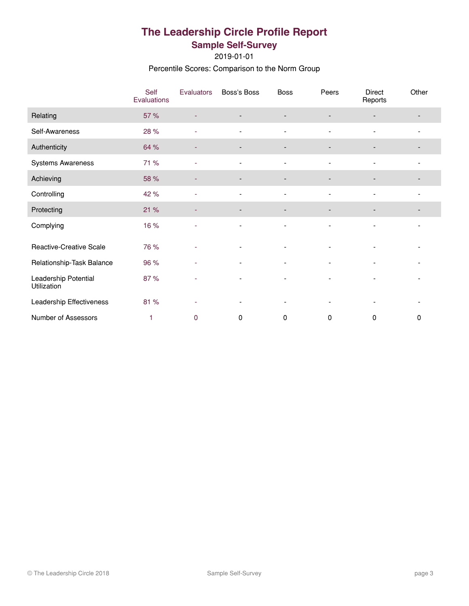# **The Leadership Circle Profile Report Sample Self-Survey**

2019-01-01

Percentile Scores: Comparison to the Norm Group

|                                     | Self<br>Evaluations | <b>Evaluators</b> | Boss's Boss              | <b>Boss</b>                  | Peers                    | Direct<br>Reports        | Other |
|-------------------------------------|---------------------|-------------------|--------------------------|------------------------------|--------------------------|--------------------------|-------|
| Relating                            | 57 %                |                   | $\overline{\phantom{a}}$ | $\overline{\phantom{a}}$     |                          |                          |       |
| Self-Awareness                      | 28 %                | ٠                 | $\overline{\phantom{a}}$ | $\overline{\phantom{a}}$     | $\overline{\phantom{a}}$ | $\overline{\phantom{a}}$ |       |
| Authenticity                        | 64 %                |                   |                          | $\qquad \qquad \blacksquare$ |                          |                          |       |
| Systems Awareness                   | 71 %                | ÷.                | $\blacksquare$           | $\blacksquare$               | $\blacksquare$           | $\blacksquare$           |       |
| Achieving                           | 58 %                | ٠                 | -                        | $\overline{\phantom{a}}$     |                          |                          |       |
| Controlling                         | 42 %                |                   | $\overline{\phantom{0}}$ | $\blacksquare$               |                          |                          |       |
| Protecting                          | 21 %                | ٠                 | -                        | $\overline{\phantom{a}}$     |                          |                          |       |
| Complying                           | 16 %                |                   | $\overline{a}$           | $\overline{\phantom{a}}$     |                          |                          |       |
| Reactive-Creative Scale             | 76 %                | ٠                 | $\overline{\phantom{a}}$ | $\overline{\phantom{a}}$     |                          |                          |       |
| Relationship-Task Balance           | 96 %                |                   |                          | $\qquad \qquad \blacksquare$ |                          |                          |       |
| Leadership Potential<br>Utilization | 87%                 | ٠                 | $\overline{\phantom{a}}$ | $\overline{\phantom{a}}$     | $\overline{\phantom{a}}$ | $\overline{\phantom{a}}$ |       |
| Leadership Effectiveness            | 81 %                | ٠                 | $\overline{\phantom{a}}$ | $\overline{\phantom{a}}$     |                          |                          |       |
| Number of Assessors                 | 1                   | 0                 | 0                        | $\mathbf 0$                  | 0                        | 0                        | 0     |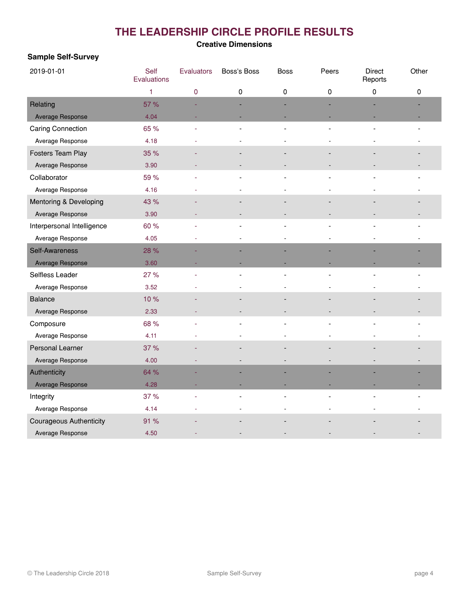# **THE LEADERSHIP CIRCLE PROFILE RESULTS**

#### **Creative Dimensions**

#### **Sample Self-Survey**

| 2019-01-01                     | Self<br>Evaluations | Evaluators | Boss's Boss | <b>Boss</b> | Peers | <b>Direct</b><br>Reports | Other |
|--------------------------------|---------------------|------------|-------------|-------------|-------|--------------------------|-------|
|                                | 1                   | 0          | 0           | 0           | 0     | 0                        | 0     |
| Relating                       | 57 %                |            |             |             |       |                          |       |
| Average Response               | 4.04                |            |             |             |       |                          |       |
| Caring Connection              | 65 %                |            |             |             |       |                          |       |
| Average Response               | 4.18                |            |             |             |       |                          |       |
| Fosters Team Play              | 35 %                |            |             |             |       |                          |       |
| Average Response               | 3.90                |            |             |             |       |                          |       |
| Collaborator                   | 59 %                |            |             |             |       |                          |       |
| Average Response               | 4.16                |            |             |             |       |                          |       |
| Mentoring & Developing         | 43 %                |            |             |             |       |                          |       |
| Average Response               | 3.90                |            |             |             |       |                          |       |
| Interpersonal Intelligence     | 60 %                |            |             |             |       |                          |       |
| Average Response               | 4.05                |            |             |             |       |                          |       |
| Self-Awareness                 | 28 %                |            |             |             |       |                          |       |
| Average Response               | 3.60                |            |             |             |       |                          |       |
| Selfless Leader                | 27 %                |            |             |             |       |                          |       |
| Average Response               | 3.52                |            |             |             |       |                          |       |
| <b>Balance</b>                 | 10%                 |            |             |             |       |                          |       |
| Average Response               | 2.33                |            |             |             |       |                          |       |
| Composure                      | 68 %                |            |             |             |       |                          |       |
| Average Response               | 4.11                |            |             |             |       |                          |       |
| Personal Learner               | 37 %                |            |             |             |       |                          |       |
| Average Response               | 4.00                |            |             |             |       |                          |       |
| Authenticity                   | 64 %                |            |             |             |       |                          |       |
| Average Response               | 4.28                |            |             |             |       |                          |       |
| Integrity                      | 37 %                |            |             |             |       |                          |       |
| Average Response               | 4.14                |            |             |             |       |                          |       |
| <b>Courageous Authenticity</b> | 91 %                |            |             |             |       |                          |       |
| Average Response               | 4.50                |            |             |             |       |                          |       |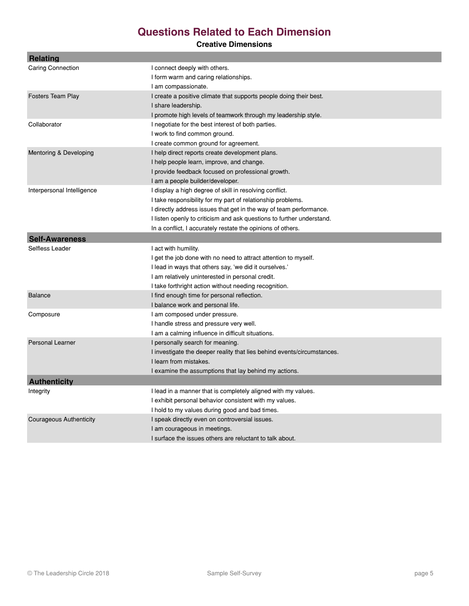# **Questions Related to Each Dimension**

#### **Creative Dimensions**

| Relating                       |                                                                         |
|--------------------------------|-------------------------------------------------------------------------|
| <b>Caring Connection</b>       | I connect deeply with others.                                           |
|                                | I form warm and caring relationships.                                   |
|                                | I am compassionate.                                                     |
| <b>Fosters Team Play</b>       | I create a positive climate that supports people doing their best.      |
|                                | I share leadership.                                                     |
|                                | I promote high levels of teamwork through my leadership style.          |
| Collaborator                   | I negotiate for the best interest of both parties.                      |
|                                | I work to find common ground.                                           |
|                                | I create common ground for agreement.                                   |
| Mentoring & Developing         | I help direct reports create development plans.                         |
|                                | I help people learn, improve, and change.                               |
|                                | I provide feedback focused on professional growth.                      |
|                                | I am a people builder/developer.                                        |
| Interpersonal Intelligence     | I display a high degree of skill in resolving conflict.                 |
|                                | I take responsibility for my part of relationship problems.             |
|                                | I directly address issues that get in the way of team performance.      |
|                                | I listen openly to criticism and ask questions to further understand.   |
|                                | In a conflict, I accurately restate the opinions of others.             |
| <b>Self-Awareness</b>          |                                                                         |
| Selfless Leader                | I act with humility.                                                    |
|                                | I get the job done with no need to attract attention to myself.         |
|                                | I lead in ways that others say, 'we did it ourselves.'                  |
|                                | I am relatively uninterested in personal credit.                        |
|                                | I take forthright action without needing recognition.                   |
| <b>Balance</b>                 | I find enough time for personal reflection.                             |
|                                | I balance work and personal life.                                       |
| Composure                      | I am composed under pressure.                                           |
|                                | I handle stress and pressure very well.                                 |
|                                | I am a calming influence in difficult situations.                       |
| <b>Personal Learner</b>        | I personally search for meaning.                                        |
|                                | I investigate the deeper reality that lies behind events/circumstances. |
|                                | I learn from mistakes.                                                  |
|                                | I examine the assumptions that lay behind my actions.                   |
| <b>Authenticity</b>            |                                                                         |
| Integrity                      | I lead in a manner that is completely aligned with my values.           |
|                                | I exhibit personal behavior consistent with my values.                  |
|                                | I hold to my values during good and bad times.                          |
| <b>Courageous Authenticity</b> | I speak directly even on controversial issues.                          |
|                                | I am courageous in meetings.                                            |
|                                | I surface the issues others are reluctant to talk about.                |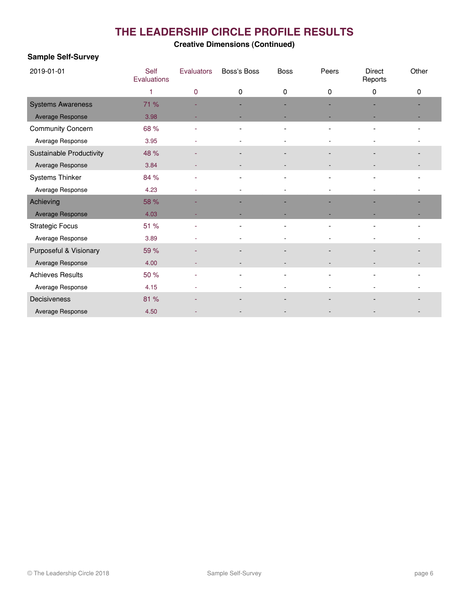# **THE LEADERSHIP CIRCLE PROFILE RESULTS**

### **Creative Dimensions (Continued)**

#### **Sample Self-Survey**

| 2019-01-01               | Self<br>Evaluations | Evaluators | Boss's Boss              | <b>Boss</b> | Peers | <b>Direct</b><br>Reports | Other                    |
|--------------------------|---------------------|------------|--------------------------|-------------|-------|--------------------------|--------------------------|
|                          | 1                   | 0          | 0                        | 0           | 0     | 0                        | 0                        |
| <b>Systems Awareness</b> | 71 %                |            |                          |             |       |                          |                          |
| Average Response         | 3.98                |            |                          |             |       |                          |                          |
| <b>Community Concern</b> | 68 %                |            |                          |             |       |                          |                          |
| Average Response         | 3.95                | ٠          | ٠                        |             |       |                          | ٠                        |
| Sustainable Productivity | 48 %                |            |                          |             |       |                          | $\overline{\phantom{a}}$ |
| Average Response         | 3.84                |            |                          |             |       |                          |                          |
| Systems Thinker          | 84 %                | ÷          | $\overline{\phantom{0}}$ |             |       |                          |                          |
| Average Response         | 4.23                |            |                          |             |       |                          |                          |
| Achieving                | 58 %                |            |                          |             |       |                          |                          |
| Average Response         | 4.03                |            |                          |             |       |                          |                          |
| <b>Strategic Focus</b>   | 51 %                | ÷          |                          |             |       |                          |                          |
| Average Response         | 3.89                |            |                          |             |       |                          |                          |
| Purposeful & Visionary   | 59 %                |            |                          |             |       |                          |                          |
| Average Response         | 4.00                | ٠          | $\overline{\phantom{m}}$ |             |       |                          | $\overline{\phantom{a}}$ |
| <b>Achieves Results</b>  | 50 %                | L,         | $\overline{a}$           |             |       |                          |                          |
| Average Response         | 4.15                |            |                          |             |       |                          |                          |
| Decisiveness             | 81 %                |            |                          |             |       |                          |                          |
| Average Response         | 4.50                |            |                          |             |       |                          |                          |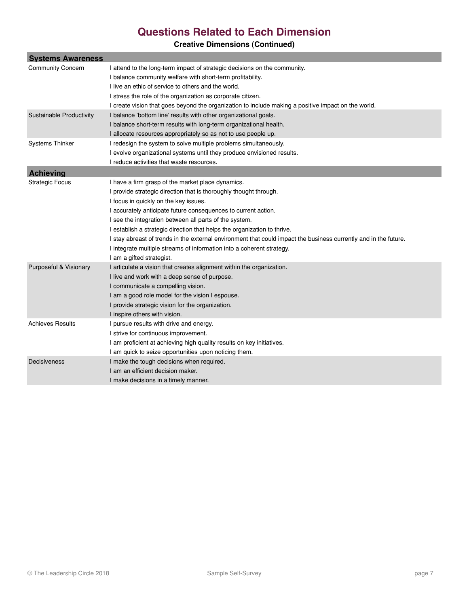## **Questions Related to Each Dimension**

## **Creative Dimensions (Continued)**

| <b>Systems Awareness</b> |                                                                                                                  |  |  |  |  |  |
|--------------------------|------------------------------------------------------------------------------------------------------------------|--|--|--|--|--|
| <b>Community Concern</b> | I attend to the long-term impact of strategic decisions on the community.                                        |  |  |  |  |  |
|                          | I balance community welfare with short-term profitability.                                                       |  |  |  |  |  |
|                          | I live an ethic of service to others and the world.                                                              |  |  |  |  |  |
|                          | I stress the role of the organization as corporate citizen.                                                      |  |  |  |  |  |
|                          | I create vision that goes beyond the organization to include making a positive impact on the world.              |  |  |  |  |  |
| Sustainable Productivity | I balance 'bottom line' results with other organizational goals.                                                 |  |  |  |  |  |
|                          | I balance short-term results with long-term organizational health.                                               |  |  |  |  |  |
|                          | I allocate resources appropriately so as not to use people up.                                                   |  |  |  |  |  |
| <b>Systems Thinker</b>   | I redesign the system to solve multiple problems simultaneously.                                                 |  |  |  |  |  |
|                          | I evolve organizational systems until they produce envisioned results.                                           |  |  |  |  |  |
|                          | I reduce activities that waste resources.                                                                        |  |  |  |  |  |
| <b>Achieving</b>         |                                                                                                                  |  |  |  |  |  |
| <b>Strategic Focus</b>   | I have a firm grasp of the market place dynamics.                                                                |  |  |  |  |  |
|                          | I provide strategic direction that is thoroughly thought through.                                                |  |  |  |  |  |
|                          | I focus in quickly on the key issues.                                                                            |  |  |  |  |  |
|                          | I accurately anticipate future consequences to current action.                                                   |  |  |  |  |  |
|                          | I see the integration between all parts of the system.                                                           |  |  |  |  |  |
|                          | I establish a strategic direction that helps the organization to thrive.                                         |  |  |  |  |  |
|                          | I stay abreast of trends in the external environment that could impact the business currently and in the future. |  |  |  |  |  |
|                          | I integrate multiple streams of information into a coherent strategy.                                            |  |  |  |  |  |
|                          | I am a gifted strategist.                                                                                        |  |  |  |  |  |
| Purposeful & Visionary   | I articulate a vision that creates alignment within the organization.                                            |  |  |  |  |  |
|                          | I live and work with a deep sense of purpose.                                                                    |  |  |  |  |  |
|                          | I communicate a compelling vision.                                                                               |  |  |  |  |  |
|                          | I am a good role model for the vision I espouse.                                                                 |  |  |  |  |  |
|                          | I provide strategic vision for the organization.                                                                 |  |  |  |  |  |
|                          | I inspire others with vision.                                                                                    |  |  |  |  |  |
| <b>Achieves Results</b>  | I pursue results with drive and energy.                                                                          |  |  |  |  |  |
|                          | I strive for continuous improvement.                                                                             |  |  |  |  |  |
|                          | I am proficient at achieving high quality results on key initiatives.                                            |  |  |  |  |  |
|                          | I am quick to seize opportunities upon noticing them.                                                            |  |  |  |  |  |
| Decisiveness             | I make the tough decisions when required.                                                                        |  |  |  |  |  |
|                          | I am an efficient decision maker.                                                                                |  |  |  |  |  |
|                          | I make decisions in a timely manner.                                                                             |  |  |  |  |  |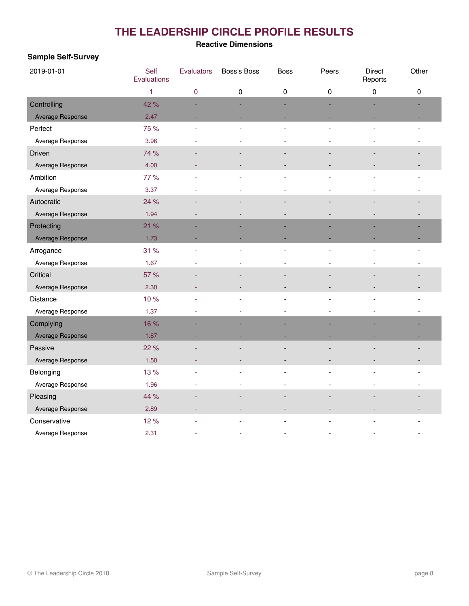# **THE LEADERSHIP CIRCLE PROFILE RESULTS**

#### **Reactive Dimensions**

#### **Sample Self-Survey**

| 2019-01-01       | Self<br>Evaluations | Evaluators | Boss's Boss | <b>Boss</b> | Peers | <b>Direct</b><br>Reports | Other |
|------------------|---------------------|------------|-------------|-------------|-------|--------------------------|-------|
|                  | 1                   | 0          | 0           | 0           | 0     | 0                        | 0     |
| Controlling      | 42 %                |            |             |             |       |                          |       |
| Average Response | 2.47                |            |             |             |       |                          |       |
| Perfect          | 75 %                |            |             |             |       |                          |       |
| Average Response | 3.96                |            |             |             |       |                          |       |
| Driven           | 74 %                |            |             |             |       |                          |       |
| Average Response | 4.00                |            |             |             |       |                          |       |
| Ambition         | 77 %                |            |             |             |       |                          |       |
| Average Response | 3.37                |            |             |             |       |                          |       |
| Autocratic       | 24 %                |            |             |             |       |                          |       |
| Average Response | 1.94                |            |             |             |       |                          |       |
| Protecting       | 21 %                |            |             |             |       |                          |       |
| Average Response | 1.73                |            |             |             |       |                          |       |
| Arrogance        | 31 %                |            |             |             |       |                          |       |
| Average Response | 1.67                |            |             |             |       |                          |       |
| Critical         | 57 %                |            |             |             |       |                          |       |
| Average Response | 2.30                |            |             |             |       |                          |       |
| Distance         | 10%                 |            |             |             |       |                          |       |
| Average Response | 1.37                |            |             |             |       |                          |       |
| Complying        | 16 %                |            |             |             |       |                          |       |
| Average Response | 1.87                |            |             |             |       |                          |       |
| Passive          | 22 %                |            |             |             |       |                          |       |
| Average Response | 1.50                |            |             |             |       |                          |       |
| Belonging        | 13%                 |            |             |             |       |                          |       |
| Average Response | 1.96                |            |             |             |       |                          |       |
| Pleasing         | 44 %                |            |             |             |       |                          |       |
| Average Response | 2.89                |            |             |             |       |                          |       |
| Conservative     | 12%                 |            |             |             |       |                          |       |
| Average Response | 2.31                |            |             |             |       |                          |       |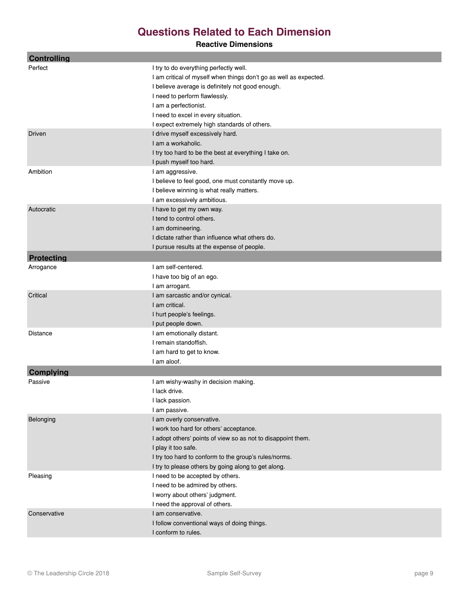# **Questions Related to Each Dimension**

#### **Reactive Dimensions**

| <b>Controlling</b> |                                                                   |
|--------------------|-------------------------------------------------------------------|
| Perfect            | I try to do everything perfectly well.                            |
|                    | I am critical of myself when things don't go as well as expected. |
|                    | I believe average is definitely not good enough.                  |
|                    | I need to perform flawlessly.                                     |
|                    | I am a perfectionist.                                             |
|                    | I need to excel in every situation.                               |
|                    | I expect extremely high standards of others.                      |
| Driven             | I drive myself excessively hard.                                  |
|                    | I am a workaholic.                                                |
|                    | I try too hard to be the best at everything I take on.            |
|                    | I push myself too hard.                                           |
| Ambition           | I am aggressive.                                                  |
|                    | I believe to feel good, one must constantly move up.              |
|                    | I believe winning is what really matters.                         |
|                    | I am excessively ambitious.                                       |
| Autocratic         | I have to get my own way.                                         |
|                    | I tend to control others.                                         |
|                    | I am domineering.                                                 |
|                    | I dictate rather than influence what others do.                   |
|                    | I pursue results at the expense of people.                        |
| <b>Protecting</b>  |                                                                   |
| Arrogance          | I am self-centered.                                               |
|                    | I have too big of an ego.                                         |
|                    | I am arrogant.                                                    |
| Critical           | I am sarcastic and/or cynical.                                    |
|                    | I am critical.                                                    |
|                    | I hurt people's feelings.                                         |
|                    | I put people down.                                                |
| Distance           | I am emotionally distant.                                         |
|                    | I remain standoffish.                                             |
|                    | I am hard to get to know.                                         |
|                    | I am aloof.                                                       |
| <b>Complying</b>   |                                                                   |
| Passive            | I am wishy-washy in decision making.                              |
|                    | I lack drive.                                                     |
|                    | I lack passion.                                                   |
|                    | I am passive.                                                     |
| Belonging          | I am overly conservative.                                         |
|                    | I work too hard for others' acceptance.                           |
|                    | I adopt others' points of view so as not to disappoint them.      |
|                    | I play it too safe.                                               |
|                    | I try too hard to conform to the group's rules/norms.             |
|                    | I try to please others by going along to get along.               |
| Pleasing           | I need to be accepted by others.                                  |
|                    | I need to be admired by others.                                   |
|                    | I worry about others' judgment.                                   |
|                    | I need the approval of others.                                    |
| Conservative       | I am conservative.                                                |
|                    | I follow conventional ways of doing things.                       |
|                    | I conform to rules.                                               |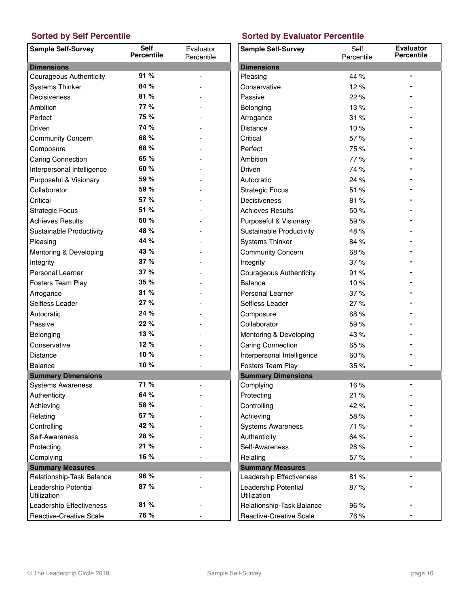| <b>Sample Self-Survey</b>           | <b>Self</b><br>Percentile | Evaluator<br>Percentile | Sa        |
|-------------------------------------|---------------------------|-------------------------|-----------|
| <b>Dimensions</b>                   |                           |                         | Dir       |
| <b>Courageous Authenticity</b>      | 91%                       |                         | P16       |
| <b>Systems Thinker</b>              | 84 %                      |                         | Co        |
| Decisiveness                        | 81%                       |                         | Pa        |
| Ambition                            | 77%                       |                         | Be        |
| Perfect                             | 75 %                      |                         | Arı       |
| <b>Driven</b>                       | 74 %                      |                         | Dis       |
| <b>Community Concern</b>            | 68 %                      |                         | Cri       |
| Composure                           | 68 %                      |                         | Pe        |
| Caring Connection                   | 65 %                      |                         | An        |
| Interpersonal Intelligence          | 60 %                      |                         | Dri       |
| Purposeful & Visionary              | 59 %                      |                         | Au        |
| Collaborator                        | 59 %                      |                         | Str       |
| Critical                            | 57%                       |                         | De        |
| <b>Strategic Focus</b>              | 51 %                      |                         | Ac        |
| <b>Achieves Results</b>             | 50 %                      |                         | Pu        |
| Sustainable Productivity            | 48 %                      |                         | Su        |
| Pleasing                            | 44 %                      |                         | Sy        |
| Mentoring & Developing              | 43 %                      |                         | Co        |
| Integrity                           | 37%                       |                         | Int       |
| Personal Learner                    | 37%                       |                         | Co        |
| Fosters Team Play                   | 35%                       |                         | Ba        |
| Arrogance                           | 31%                       |                         | Pe        |
| Selfless Leader                     | 27%                       |                         | Se        |
| Autocratic                          | 24 %                      |                         | Co        |
| Passive                             | 22%                       |                         | Co        |
| Belonging                           | 13%                       |                         | Me        |
| Conservative                        | 12%                       |                         | Ca        |
| <b>Distance</b>                     | 10%                       |                         | Int       |
| <b>Balance</b>                      | 10%                       |                         | Fo        |
| <b>Summary Dimensions</b>           |                           |                         | Su        |
| Systems Awareness                   | 71 %                      |                         | Co        |
| Authenticity                        | 64 %                      |                         | Pro       |
| Achieving                           | 58 %                      |                         | Co        |
| Relating                            | 57 %                      |                         | Ac        |
| Controlling                         | 42 %                      |                         | Sy        |
| Self-Awareness                      | 28 %                      |                         | Au        |
| Protecting                          | 21 %                      |                         | Se        |
| Complying                           | 16 %                      |                         | Re        |
| <b>Summary Measures</b>             |                           |                         | Su        |
| Relationship-Task Balance           | 96 %                      |                         | Le        |
| Leadership Potential<br>Utilization | 87%                       |                         | Le<br>Uti |
| Leadership Effectiveness            | 81 %                      |                         | Re        |
| Reactive-Creative Scale             | 76 %                      |                         | Re        |

## **Sorted by Self Percentile Sorted by Evaluator Percentile**

| <b>Sample Self-Survey</b>           | Self<br>Percentile | <b>Evaluator</b><br><b>Percentile</b> |
|-------------------------------------|--------------------|---------------------------------------|
| <b>Dimensions</b>                   |                    |                                       |
| Pleasing                            | 44 %               |                                       |
| Conservative                        | 12%                |                                       |
| Passive                             | 22 %               |                                       |
| Belonging                           | 13%                |                                       |
| Arrogance                           | 31%                |                                       |
| <b>Distance</b>                     | 10%                |                                       |
| Critical                            | 57 %               |                                       |
| Perfect                             | 75 %               |                                       |
| Ambition                            | 77 %               |                                       |
| Driven                              | 74 %               |                                       |
| Autocratic                          | 24 %               |                                       |
| <b>Strategic Focus</b>              | 51 %               |                                       |
| Decisiveness                        | 81%                |                                       |
| <b>Achieves Results</b>             | 50%                |                                       |
| Purposeful & Visionary              | 59 %               |                                       |
| Sustainable Productivity            | 48 %               |                                       |
| <b>Systems Thinker</b>              | 84 %               |                                       |
| <b>Community Concern</b>            | 68%                |                                       |
| Integrity                           | 37%                |                                       |
| <b>Courageous Authenticity</b>      | 91%                |                                       |
| <b>Balance</b>                      | 10%                |                                       |
| <b>Personal Learner</b>             | 37%                |                                       |
| Selfless Leader                     | 27%                |                                       |
| Composure                           | 68%                |                                       |
| Collaborator                        | 59%                |                                       |
| Mentoring & Developing              | 43 %               |                                       |
| <b>Caring Connection</b>            | 65 %               |                                       |
| Interpersonal Intelligence          | 60 %               |                                       |
| Fosters Team Play                   | 35%                |                                       |
| <b>Summary Dimensions</b>           |                    |                                       |
| Complying                           | 16 %               |                                       |
| Protecting                          | 21 %               |                                       |
| Controlling                         | 42 %               |                                       |
| Achieving                           | 58 %               |                                       |
| <b>Systems Awareness</b>            | 71 %               |                                       |
| Authenticity                        | 64 %               |                                       |
| Self-Awareness                      | 28 %               |                                       |
| Relating                            | 57%                |                                       |
| <b>Summary Measures</b>             |                    |                                       |
| Leadership Effectiveness            | 81%                |                                       |
| Leadership Potential<br>Utilization | 87%                |                                       |
| Relationship-Task Balance           | 96 %               |                                       |
| Reactive-Creative Scale             | 76 %               |                                       |